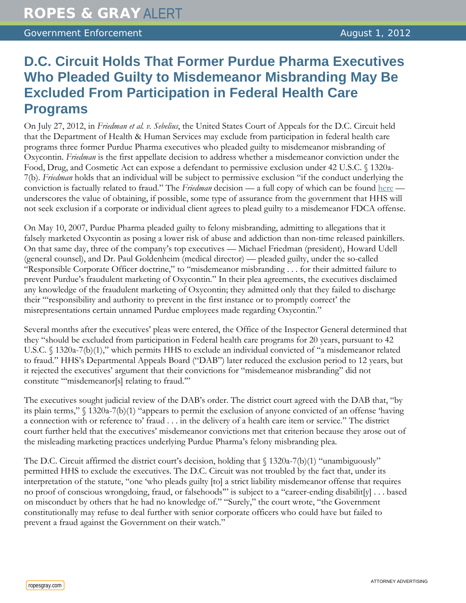## **D.C. Circuit Holds That Former Purdue Pharma Executives Who Pleaded Guilty to Misdemeanor Misbranding May Be Excluded From Participation in Federal Health Care Programs**

On July 27, 2012, in *Friedman et al. v. Sebelius*, the United States Court of Appeals for the D.C. Circuit held that the Department of Health & Human Services may exclude from participation in federal health care programs three former Purdue Pharma executives who pleaded guilty to misdemeanor misbranding of Oxycontin. *Friedman* is the first appellate decision to address whether a misdemeanor conviction under the Food, Drug, and Cosmetic Act can expose a defendant to permissive exclusion under 42 U.S.C. § 1320a-7(b). *Friedman* holds that an individual will be subject to permissive exclusion "if the conduct underlying the conviction is factually related to fraud." The *Friedman* decision — a full copy of which can be found [here](http://www.cadc.uscourts.gov/internet/opinions.nsf/459F3439969F140285257A48004F075C/$file/11-5028-1386058.pdf) underscores the value of obtaining, if possible, some type of assurance from the government that HHS will not seek exclusion if a corporate or individual client agrees to plead guilty to a misdemeanor FDCA offense.

On May 10, 2007, Purdue Pharma pleaded guilty to felony misbranding, admitting to allegations that it falsely marketed Oxycontin as posing a lower risk of abuse and addiction than non-time released painkillers. On that same day, three of the company's top executives — Michael Friedman (president), Howard Udell (general counsel), and Dr. Paul Goldenheim (medical director) — pleaded guilty, under the so-called "Responsible Corporate Officer doctrine," to "misdemeanor misbranding . . . for their admitted failure to prevent Purdue's fraudulent marketing of Oxycontin." In their plea agreements, the executives disclaimed any knowledge of the fraudulent marketing of Oxycontin; they admitted only that they failed to discharge their "'responsibility and authority to prevent in the first instance or to promptly correct' the misrepresentations certain unnamed Purdue employees made regarding Oxycontin."

Several months after the executives' pleas were entered, the Office of the Inspector General determined that they "should be excluded from participation in Federal health care programs for 20 years, pursuant to 42 U.S.C. § 1320a-7(b)(1)," which permits HHS to exclude an individual convicted of "a misdemeanor related to fraud." HHS's Departmental Appeals Board ("DAB") later reduced the exclusion period to 12 years, but it rejected the executives' argument that their convictions for "misdemeanor misbranding" did not constitute "'misdemeanor[s] relating to fraud.'"

The executives sought judicial review of the DAB's order. The district court agreed with the DAB that, "by its plain terms," § 1320a-7(b)(1) "appears to permit the exclusion of anyone convicted of an offense 'having a connection with or reference to' fraud . . . in the delivery of a health care item or service." The district court further held that the executives' misdemeanor convictions met that criterion because they arose out of the misleading marketing practices underlying Purdue Pharma's felony misbranding plea.

The D.C. Circuit affirmed the district court's decision, holding that  $\int$  1320a-7(b)(1) "unambiguously" permitted HHS to exclude the executives. The D.C. Circuit was not troubled by the fact that, under its interpretation of the statute, "one 'who pleads guilty [to] a strict liability misdemeanor offense that requires no proof of conscious wrongdoing, fraud, or falsehoods'" is subject to a "career-ending disabilit[y] . . . based on misconduct by others that he had no knowledge of." "Surely," the court wrote, "the Government constitutionally may refuse to deal further with senior corporate officers who could have but failed to prevent a fraud against the Government on their watch."